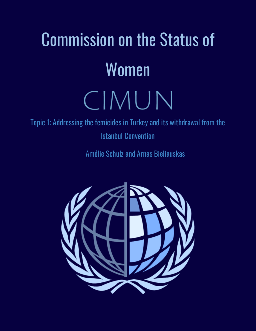# Commission on the Status of Women CIMUN

Topic 1: Addressing the femicides in Turkey and its withdrawal from the Istanbul Convention

Amélie Schulz and Arnas Bieliauskas

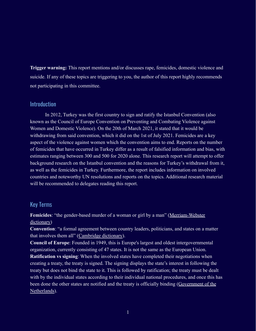**Trigger warning:** This report mentions and/or discusses rape, femicides, domestic violence and suicide. If any of these topics are triggering to you, the author of this report highly recommends not participating in this committee.

#### Introduction

In 2012, Turkey was the first country to sign and ratify the Istanbul Convention (also known as the Council of Europe Convention on Preventing and Combating Violence against Women and Domestic Violence). On the 20th of March 2021, it stated that it would be withdrawing from said convention, which it did on the 1st of July 2021. Femicides are a key aspect of the violence against women which the convention aims to end. Reports on the number of femicides that have occurred in Turkey differ as a result of falsified information and bias, with estimates ranging between 300 and 500 for 2020 alone. This research report will attempt to offer background research on the Istanbul convention and the reasons for Turkey's withdrawal from it, as well as the femicides in Turkey. Furthermore, the report includes information on involved countries and noteworthy UN resolutions and reports on the topics. Additional research material will be recommended to delegates reading this report.

# Key Terms

**Femicides**: "the gender-based murder of a woman or girl by a man" ([Merriam-Webster](https://www.merriam-webster.com/dictionary/femicide) [dictionary\)](https://www.merriam-webster.com/dictionary/femicide)

**Convention**: "a formal agreement between country leaders, politicians, and states on a matter that involves them all" ([Cambridge dictionary\)](https://dictionary.cambridge.org/dictionary/english/convention).

**Council of Europe**: Founded in 1949, this is Europe's largest and oldest intergovernmental organization, currently consisting of 47 states. It is not the same as the European Union.

**Ratification vs signing**: When the involved states have completed their negotiations when creating a treaty, the treaty is signed. The signing displays the state's interest in following the treaty but does not bind the state to it. This is followed by ratification; the treaty must be dealt with by the individual states according to their individual national procedures, and once this has been done the other states are notified and the treaty is officially binding ([Government of the](https://www.government.nl/topics/treaties/the-difference-between-signing-and-ratification) [Netherlands\)](https://www.government.nl/topics/treaties/the-difference-between-signing-and-ratification).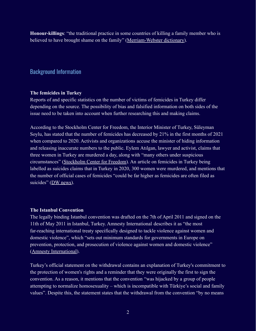**Honour-killings**: "the traditional practice in some countries of killing a family member who is believed to have brought shame on the family" ([Merriam-Webster](https://www.merriam-webster.com/dictionary/honor%20killing) dictionary).

### Background Information

#### **The femicides in Turkey**

Reports of and specific statistics on the number of victims of femicides in Turkey differ depending on the source. The possibility of bias and falsified information on both sides of the issue need to be taken into account when further researching this and making claims.

According to the Stockholm Center for Freedom, the Interior Minister of Turkey, Süleyman Soylu, has stated that the number of femicides has decreased by 21% in the first months of 2021 when compared to 2020. Activists and organizations accuse the minister of hiding information and releasing inaccurate numbers to the public. Eylem Atılgan, lawyer and activist, claims that three women in Turkey are murdered a day, along with "many others under suspicious circumstances" [\(Stockholm Center for Freedom\)](https://stockholmcf.org/activists-call-on-turkish-government-to-take-effective-measures-against-femicide/). An article on femicides in Turkey being labelled as suicides claims that in Turkey in 2020, 300 women were murdered, and mentions that the number of official cases of femicides "could be far higher as femicides are often filed as suicides" ([DW news\)](https://www.dw.com/en/how-many-femicides-in-turkey-are-covered-up-as-suicides/a-56752194).

#### **The Istanbul Convention**

The legally binding Istanbul convention was drafted on the 7th of April 2011 and signed on the 11th of May 2011 in Istanbul, Turkey. Amnesty International describes it as "the most far-reaching international treaty specifically designed to tackle violence against women and domestic violence", which "sets out minimum standards for governments in Europe on prevention, protection, and prosecution of violence against women and domestic violence" ([Amnesty International\)](https://www.amnesty.org/en/latest/news/2021/05/heres-why-the-istanbul-convention-saves-lives/).

Turkey's official statement on the withdrawal contains an explanation of Turkey's commitment to the protection of women's rights and a reminder that they were originally the first to sign the convention. As a reason, it mentions that the convention "was hijacked by a group of people attempting to normalize homosexuality – which is incompatible with Türkiye's social and family values". Despite this, the statement states that the withdrawal from the convention "by no means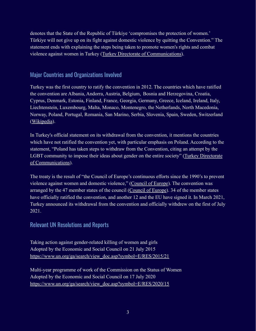denotes that the State of the Republic of Türkiye 'compromises the protection of women.' Türkiye will not give up on its fight against domestic violence by quitting the Convention." The statement ends with explaining the steps being taken to promote women's rights and combat violence against women in Turkey (Turkey Directorate [of Communications\)](https://www.iletisim.gov.tr/english/haberler/detay/statement-regarding-turkeys-withdrawal-from-the-istanbul-convention).

## Major Countries and Organizations Involved

Turkey was the first country to ratify the convention in 2012. The countries which have ratified the convention are Albania, Andorra, Austria, Belgium, Bosnia and Herzegovina, Croatia, Cyprus, Denmark, Estonia, Finland, France, Georgia, Germany, Greece, Iceland, Ireland, Italy, Liechtenstein, Luxembourg, Malta, Monaco, Montenegro, the Netherlands, North Macedonia, Norway, Poland, Portugal, Romania, San Marino, Serbia, Slovenia, Spain, Sweden, Switzerland ([Wikipedia](https://en.wikipedia.org/wiki/Istanbul_Convention)).

In Turkey's official statement on its withdrawal from the convention, it mentions the countries which have not ratified the convention yet, with particular emphasis on Poland. According to the statement, "Poland has taken steps to withdraw from the Convention, citing an attempt by the LGBT community to impose their ideas about gender on the entire society" [\(Turkey Directorate](https://www.iletisim.gov.tr/english/haberler/detay/statement-regarding-turkeys-withdrawal-from-the-istanbul-convention) [of Communications\)](https://www.iletisim.gov.tr/english/haberler/detay/statement-regarding-turkeys-withdrawal-from-the-istanbul-convention).

The treaty is the result of "the Council of Europe's continuous efforts since the 1990's to prevent violence against women and domestic violence," (Council [of Europe](https://www.coe.int/en/web/istanbul-convention/key-facts)). The convention was arranged by the 47 member states of the council (Council [of Europe](https://www.coe.int/en/web/tbilisi/the-coe/objectives-and-missions)). 34 of the member states have officially ratified the convention, and another 12 and the EU have signed it. In March 2021, Turkey announced its withdrawal from the convention and officially withdrew on the first of July 2021.

## Relevant UN Resolutions and Reports

Taking action against gender-related killing of women and girls Adopted by the Economic and Social Council on 21 July 2015 [https://www.un.org/ga/search/view\\_doc.asp?symbol=E/RES/2015/21](https://www.un.org/ga/search/view_doc.asp?symbol=E/RES/2015/21)

Multi-year programme of work of the Commission on the Status of Women Adopted by the Economic and Social Council on 17 July 2020 [https://www.un.org/ga/search/view\\_doc.asp?symbol=E/RES/2020/15](https://www.un.org/ga/search/view_doc.asp?symbol=E/RES/2020/15)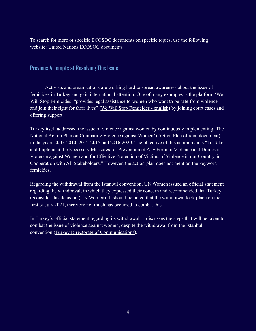To search for more or specific ECOSOC documents on specific topics, use the following website: [United Nations ECOSOC documents](https://www.un.org/ecosoc/en/documents/search-documents)

### Previous Attempts at Resolving This Issue

Activists and organizations are working hard to spread awareness about the issue of femicides in Turkey and gain international attention. One of many examples is the platform 'We Will Stop Femicides' "provides legal assistance to women who want to be safe from violence and join their fight for their lives" (We Will Stop [Femicides - english](http://www.kadincinayetlerinidurduracagiz.net/for-english#:~:text=The%20platform%20strives%20for%20stopping,the%20violation%20right%20to%20life.&text=We%20Will%20Stop%20Femicide%20Platform%20has%20the%20status%20of%20legal%20person.)) by joining court cases and offering support.

Turkey itself addressed the issue of violence against women by continuously implementing 'The National Action Plan on Combating Violence against Women' ([Action Plan official document\)](https://rm.coe.int/annex-4-national-action-plan-vaw/16807bf41f), in the years 2007-2010, 2012-2015 and 2016-2020. The objective of this action plan is "To Take and Implement the Necessary Measures for Prevention of Any Form of Violence and Domestic Violence against Women and for Effective Protection of Victims of Violence in our Country, in Cooperation with All Stakeholders." However, the action plan does not mention the keyword femicides.

Regarding the withdrawal from the Istanbul convention, UN Women issued an official statement regarding the withdrawal, in which they expressed their concern and recommended that Turkey reconsider this decision [\(UN Women\)](https://www.unwomen.org/en/news/stories/2021/3/statement-un-women-turkey-withdrawal-from-the-istanbul-convention). It should be noted that the withdrawal took place on the first of July 2021, therefore not much has occurred to combat this.

In Turkey's official statement regarding its withdrawal, it discusses the steps that will be taken to combat the issue of violence against women, despite the withdrawal from the Istanbul convention [\(Turkey Directorate of Communications\)](https://www.iletisim.gov.tr/english/haberler/detay/statement-regarding-turkeys-withdrawal-from-the-istanbul-convention).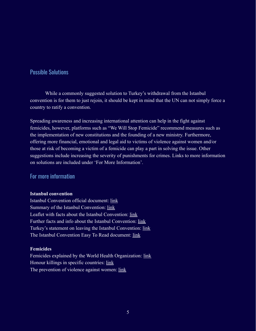## Possible Solutions

While a commonly suggested solution to Turkey's withdrawal from the Istanbul convention is for them to just rejoin, it should be kept in mind that the UN can not simply force a country to ratify a convention.

Spreading awareness and increasing international attention can help in the fight against femicides, however, platforms such as "We Will Stop Femicide" recommend measures such as the implementation of new constitutions and the founding of a new ministry. Furthermore, offering more financial, emotional and legal aid to victims of violence against women and/or those at risk of becoming a victim of a femicide can play a part in solving the issue. Other suggestions include increasing the severity of punishments for crimes. Links to more information on solutions are included under 'For More Information'.

#### For more information

#### **Istanbul convention**

Istanbul Convention official document: [link](https://rm.coe.int/168046031c) Summary of the Istanbul Convention: [link](https://www.coe.int/en/web/istanbul-convention/the-convention-in-brief#%7B%2211642062%22:[0]%7D) Leaflet with facts about the Istanbul Convention: [link](https://ec.europa.eu/justice/saynostopvaw/downloads/materials/pdf/istanbul-convention-leaflet-online.pdf) Further facts and info about the Istanbul Convention: [link](https://www.coe.int/en/web/istanbul-convention/key-facts) Turkey's statement on leaving the Istanbul Convention: [link](https://www.iletisim.gov.tr/english/haberler/detay/statement-regarding-turkeys-withdrawal-from-the-istanbul-convention) The Istanbul Convention Easy To Read document: [link](https://www.edf-feph.org/content/uploads/2020/12/istanbul_convention_easy-to-read_english.pdf)

#### **Femicides**

Femicides explained by the World Health Organization: [link](http://apps.who.int/iris/bitstream/handle/10665/77421/WHO_RHR_12.38_eng.pdf?sequence=1) Honour killings in specific countries: [link](https://en.wikipedia.org/wiki/Honor_killing#Turkey) The prevention of violence against women: [link](https://www.unwomen.org/en/what-we-do/ending-violence-against-women/prevention)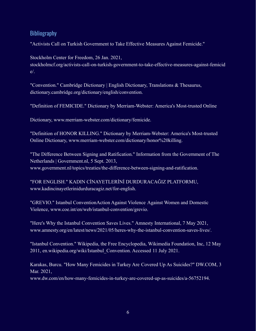## Bibliography

"Activists Call on Turkish Government to Take Effective Measures Against Femicide."

Stockholm Center for Freedom, 26 Jan. 2021, stockholmcf.org/activists-call-on-turkish-government-to-take-effective-measures-against-femicid e/.

"Convention." Cambridge Dictionary | English Dictionary, Translations & Thesaurus, dictionary.cambridge.org/dictionary/english/convention.

"Definition of FEMICIDE." Dictionary by Merriam-Webster: America's Most-trusted Online

Dictionary, www.merriam-webster.com/dictionary/femicide.

"Definition of HONOR KILLING." Dictionary by Merriam-Webster: America's Most-trusted Online Dictionary, www.merriam-webster.com/dictionary/honor%20killing.

"The Difference Between Signing and Ratification." Information from the Government of The Netherlands | Government.nl, 5 Sept. 2013, www.government.nl/topics/treaties/the-difference-between-signing-and-ratification.

"FOR ENGLISH." KADIN CİNAYETLERİNİ DURDURACAĞIZ PLATFORMU, www.kadincinayetlerinidurduracagiz.net/for-english.

"GREVIO." Istanbul ConventionAction Against Violence Against Women and Domestic Violence, www.coe.int/en/web/istanbul-convention/grevio.

"Here's Why the Istanbul Convention Saves Lives." Amnesty International, 7 May 2021, www.amnesty.org/en/latest/news/2021/05/heres-why-the-istanbul-convention-saves-lives/.

"Istanbul Convention." Wikipedia, the Free Encyclopedia, Wikimedia Foundation, Inc, 12 May 2011, en.wikipedia.org/wiki/Istanbul\_Convention. Accessed 11 July 2021.

Karakas, Burcu. "How Many Femicides in Turkey Are Covered Up As Suicides?" DW.COM, 3 Mar. 2021,

www.dw.com/en/how-many-femicides-in-turkey-are-covered-up-as-suicides/a-56752194.